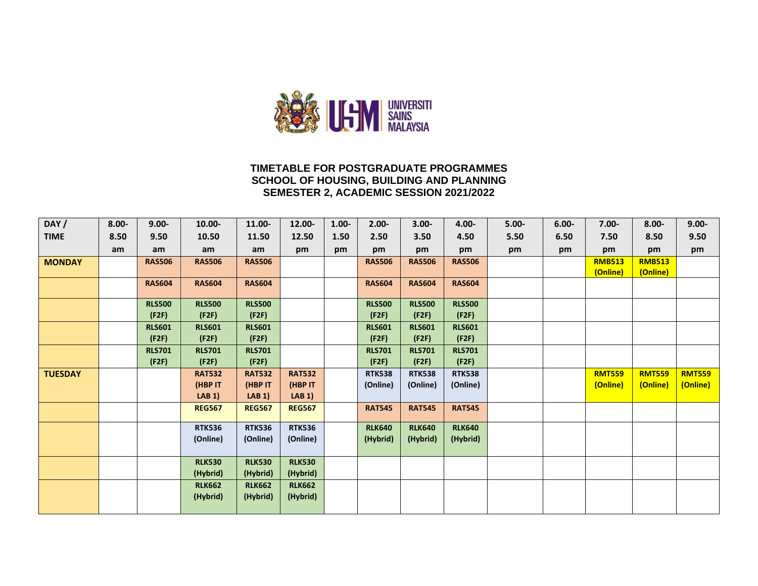

#### **TIMETABLE FOR POSTGRADUATE PROGRAMMES SCHOOL OF HOUSING, BUILDING AND PLANNING SEMESTER 2, ACADEMIC SESSION 2021/2022**

| DAY/           | $8.00 -$ | $9.00 -$      | 10.00-        | 11.00-        | 12.00-           | $1.00 -$ | $2.00 -$      | $3.00 -$      | 4.00-         | $5.00 -$ | $6.00 -$ | $7.00 -$      | $8.00 -$      | $9.00 -$      |
|----------------|----------|---------------|---------------|---------------|------------------|----------|---------------|---------------|---------------|----------|----------|---------------|---------------|---------------|
| <b>TIME</b>    | 8.50     | 9.50          | 10.50         | 11.50         | 12.50            | 1.50     | 2.50          | 3.50          | 4.50          | 5.50     | 6.50     | 7.50          | 8.50          | 9.50          |
|                | am       | am            | am            | am            | pm               | pm       | pm            | pm            | pm            | pm       | pm       | pm            | pm            | pm            |
| <b>MONDAY</b>  |          | <b>RAS506</b> | <b>RAS506</b> | <b>RAS506</b> |                  |          | <b>RAS506</b> | <b>RAS506</b> | <b>RAS506</b> |          |          | <b>RMB513</b> | <b>RMB513</b> |               |
|                |          |               |               |               |                  |          |               |               |               |          |          | (Online)      | (Online)      |               |
|                |          | <b>RAS604</b> | <b>RAS604</b> | <b>RAS604</b> |                  |          | <b>RAS604</b> | <b>RAS604</b> | <b>RAS604</b> |          |          |               |               |               |
|                |          | <b>RLS500</b> | <b>RLS500</b> | <b>RLS500</b> |                  |          | <b>RLS500</b> | <b>RLS500</b> | <b>RLS500</b> |          |          |               |               |               |
|                |          | (F2F)         | (F2F)         | (F2F)         |                  |          | (F2F)         | (F2F)         | (F2F)         |          |          |               |               |               |
|                |          | <b>RLS601</b> | <b>RLS601</b> | <b>RLS601</b> |                  |          | <b>RLS601</b> | <b>RLS601</b> | <b>RLS601</b> |          |          |               |               |               |
|                |          | (F2F)         | (F2F)         | (F2F)         |                  |          | (F2F)         | (F2F)         | (F2F)         |          |          |               |               |               |
|                |          | <b>RLS701</b> | <b>RLS701</b> | <b>RLS701</b> |                  |          | <b>RLS701</b> | <b>RLS701</b> | <b>RLS701</b> |          |          |               |               |               |
|                |          | (F2F)         | (F2F)         | (F2F)         |                  |          | (F2F)         | (F2F)         | (F2F)         |          |          |               |               |               |
| <b>TUESDAY</b> |          |               | <b>RAT532</b> | <b>RAT532</b> | <b>RAT532</b>    |          | <b>RTK538</b> | <b>RTK538</b> | <b>RTK538</b> |          |          | <b>RMT559</b> | <b>RMT559</b> | <b>RMT559</b> |
|                |          |               | (HBP IT       | (HBP IT       | (HBP IT          |          | (Online)      | (Online)      | (Online)      |          |          | (Online)      | (Online)      | (Online)      |
|                |          |               | LAB 1)        | LAB 1)        | LAB <sub>1</sub> |          |               |               |               |          |          |               |               |               |
|                |          |               | <b>REG567</b> | <b>REG567</b> | <b>REG567</b>    |          | <b>RAT545</b> | <b>RAT545</b> | <b>RAT545</b> |          |          |               |               |               |
|                |          |               | <b>RTK536</b> | <b>RTK536</b> | <b>RTK536</b>    |          | <b>RLK640</b> | <b>RLK640</b> | <b>RLK640</b> |          |          |               |               |               |
|                |          |               | (Online)      | (Online)      | (Online)         |          | (Hybrid)      | (Hybrid)      | (Hybrid)      |          |          |               |               |               |
|                |          |               | <b>RLK530</b> | <b>RLK530</b> | <b>RLK530</b>    |          |               |               |               |          |          |               |               |               |
|                |          |               | (Hybrid)      | (Hybrid)      | (Hybrid)         |          |               |               |               |          |          |               |               |               |
|                |          |               | <b>RLK662</b> | <b>RLK662</b> | <b>RLK662</b>    |          |               |               |               |          |          |               |               |               |
|                |          |               | (Hybrid)      | (Hybrid)      | (Hybrid)         |          |               |               |               |          |          |               |               |               |
|                |          |               |               |               |                  |          |               |               |               |          |          |               |               |               |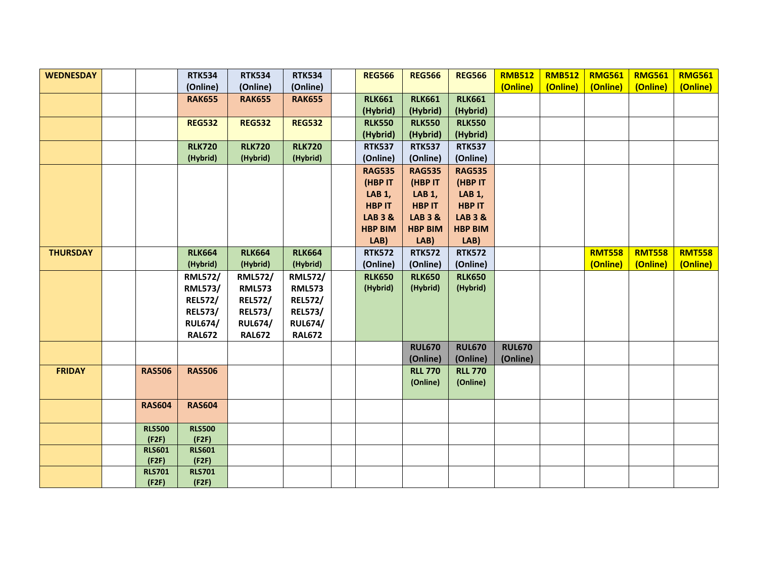| <b>WEDNESDAY</b> |               | <b>RTK534</b>  | <b>RTK534</b>  | <b>RTK534</b>  | <b>REG566</b>      | <b>REG566</b>      | <b>REG566</b>      | <b>RMB512</b> | <b>RMB512</b> | <b>RMG561</b> | <b>RMG561</b> | <b>RMG561</b> |
|------------------|---------------|----------------|----------------|----------------|--------------------|--------------------|--------------------|---------------|---------------|---------------|---------------|---------------|
|                  |               | (Online)       | (Online)       | (Online)       |                    |                    |                    | (Online)      | (Online)      | (Online)      | (Online)      | (Online)      |
|                  |               | <b>RAK655</b>  | <b>RAK655</b>  | <b>RAK655</b>  | <b>RLK661</b>      | <b>RLK661</b>      | <b>RLK661</b>      |               |               |               |               |               |
|                  |               |                |                |                | (Hybrid)           | (Hybrid)           | (Hybrid)           |               |               |               |               |               |
|                  |               | <b>REG532</b>  | <b>REG532</b>  | <b>REG532</b>  | <b>RLK550</b>      | <b>RLK550</b>      | <b>RLK550</b>      |               |               |               |               |               |
|                  |               |                |                |                | (Hybrid)           | (Hybrid)           | (Hybrid)           |               |               |               |               |               |
|                  |               | <b>RLK720</b>  | <b>RLK720</b>  | <b>RLK720</b>  | <b>RTK537</b>      | <b>RTK537</b>      | <b>RTK537</b>      |               |               |               |               |               |
|                  |               | (Hybrid)       | (Hybrid)       | (Hybrid)       | (Online)           | (Online)           | (Online)           |               |               |               |               |               |
|                  |               |                |                |                | <b>RAG535</b>      | <b>RAG535</b>      | <b>RAG535</b>      |               |               |               |               |               |
|                  |               |                |                |                | (HBP IT            | (HBP IT            | (HBP IT            |               |               |               |               |               |
|                  |               |                |                |                | <b>LAB 1,</b>      | <b>LAB 1,</b>      | <b>LAB 1,</b>      |               |               |               |               |               |
|                  |               |                |                |                | <b>HBP IT</b>      | <b>HBP IT</b>      | <b>HBP IT</b>      |               |               |               |               |               |
|                  |               |                |                |                | <b>LAB 3 &amp;</b> | <b>LAB 3 &amp;</b> | <b>LAB 3 &amp;</b> |               |               |               |               |               |
|                  |               |                |                |                | <b>HBP BIM</b>     | <b>HBP BIM</b>     | <b>HBP BIM</b>     |               |               |               |               |               |
|                  |               |                |                |                | LAB)               | LAB)               | LAB)               |               |               |               |               |               |
| <b>THURSDAY</b>  |               | <b>RLK664</b>  | <b>RLK664</b>  | <b>RLK664</b>  | <b>RTK572</b>      | <b>RTK572</b>      | <b>RTK572</b>      |               |               | <b>RMT558</b> | <b>RMT558</b> | <b>RMT558</b> |
|                  |               | (Hybrid)       | (Hybrid)       | (Hybrid)       | (Online)           | (Online)           | (Online)           |               |               | (Online)      | (Online)      | (Online)      |
|                  |               | <b>RML572/</b> | <b>RML572/</b> | <b>RML572/</b> | <b>RLK650</b>      | <b>RLK650</b>      | <b>RLK650</b>      |               |               |               |               |               |
|                  |               | <b>RML573/</b> | <b>RML573</b>  | <b>RML573</b>  | (Hybrid)           | (Hybrid)           | (Hybrid)           |               |               |               |               |               |
|                  |               | <b>REL572/</b> | <b>REL572/</b> | <b>REL572/</b> |                    |                    |                    |               |               |               |               |               |
|                  |               | <b>REL573/</b> | <b>REL573/</b> | <b>REL573/</b> |                    |                    |                    |               |               |               |               |               |
|                  |               | <b>RUL674/</b> | <b>RUL674/</b> | <b>RUL674/</b> |                    |                    |                    |               |               |               |               |               |
|                  |               | <b>RAL672</b>  | <b>RAL672</b>  | <b>RAL672</b>  |                    |                    |                    |               |               |               |               |               |
|                  |               |                |                |                |                    | <b>RUL670</b>      | <b>RUL670</b>      | <b>RUL670</b> |               |               |               |               |
|                  |               |                |                |                |                    | (Online)           | (Online)           | (Online)      |               |               |               |               |
| <b>FRIDAY</b>    | <b>RAS506</b> | <b>RAS506</b>  |                |                |                    | <b>RLL 770</b>     | <b>RLL 770</b>     |               |               |               |               |               |
|                  |               |                |                |                |                    | (Online)           | (Online)           |               |               |               |               |               |
|                  |               |                |                |                |                    |                    |                    |               |               |               |               |               |
|                  | <b>RAS604</b> | <b>RAS604</b>  |                |                |                    |                    |                    |               |               |               |               |               |
|                  | <b>RLS500</b> | <b>RLS500</b>  |                |                |                    |                    |                    |               |               |               |               |               |
|                  | (F2F)         | (F2F)          |                |                |                    |                    |                    |               |               |               |               |               |
|                  | <b>RLS601</b> | <b>RLS601</b>  |                |                |                    |                    |                    |               |               |               |               |               |
|                  | (F2F)         | (F2F)          |                |                |                    |                    |                    |               |               |               |               |               |
|                  | <b>RLS701</b> | <b>RLS701</b>  |                |                |                    |                    |                    |               |               |               |               |               |
|                  | (F2F)         | (F2F)          |                |                |                    |                    |                    |               |               |               |               |               |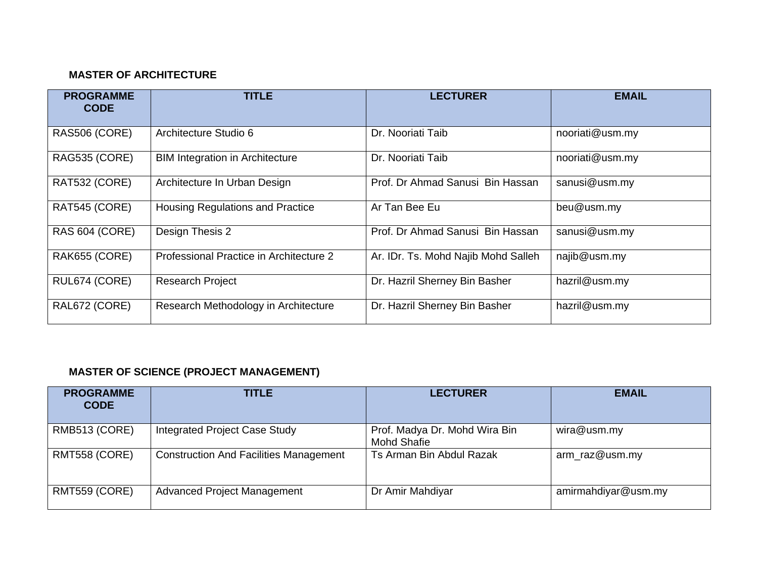### **MASTER OF ARCHITECTURE**

| <b>PROGRAMME</b><br><b>CODE</b> | <b>TITLE</b>                            | <b>LECTURER</b>                     | <b>EMAIL</b>    |
|---------------------------------|-----------------------------------------|-------------------------------------|-----------------|
| RAS506 (CORE)                   | Architecture Studio 6                   | Dr. Nooriati Taib                   | nooriati@usm.my |
| RAG535 (CORE)                   | <b>BIM Integration in Architecture</b>  | Dr. Nooriati Taib                   | nooriati@usm.my |
| RAT532 (CORE)                   | Architecture In Urban Design            | Prof. Dr Ahmad Sanusi Bin Hassan    | sanusi@usm.my   |
| RAT545 (CORE)                   | <b>Housing Regulations and Practice</b> | Ar Tan Bee Eu                       | beu@usm.my      |
| <b>RAS 604 (CORE)</b>           | Design Thesis 2                         | Prof. Dr Ahmad Sanusi Bin Hassan    | sanusi@usm.my   |
| RAK655 (CORE)                   | Professional Practice in Architecture 2 | Ar. IDr. Ts. Mohd Najib Mohd Salleh | najib@usm.my    |
| RUL674 (CORE)                   | <b>Research Project</b>                 | Dr. Hazril Sherney Bin Basher       | hazril@usm.my   |
| RAL672 (CORE)                   | Research Methodology in Architecture    | Dr. Hazril Sherney Bin Basher       | hazril@usm.my   |

# **MASTER OF SCIENCE (PROJECT MANAGEMENT)**

| <b>PROGRAMME</b><br><b>CODE</b> | <b>TITLE</b>                                  | <b>LECTURER</b>                                     | <b>EMAIL</b>        |
|---------------------------------|-----------------------------------------------|-----------------------------------------------------|---------------------|
| RMB513 (CORE)                   | Integrated Project Case Study                 | Prof. Madya Dr. Mohd Wira Bin<br><b>Mohd Shafie</b> | wira@usm.my         |
| RMT558 (CORE)                   | <b>Construction And Facilities Management</b> | Ts Arman Bin Abdul Razak                            | arm_raz@usm.my      |
| RMT559 (CORE)                   | <b>Advanced Project Management</b>            | Dr Amir Mahdiyar                                    | amirmahdiyar@usm.my |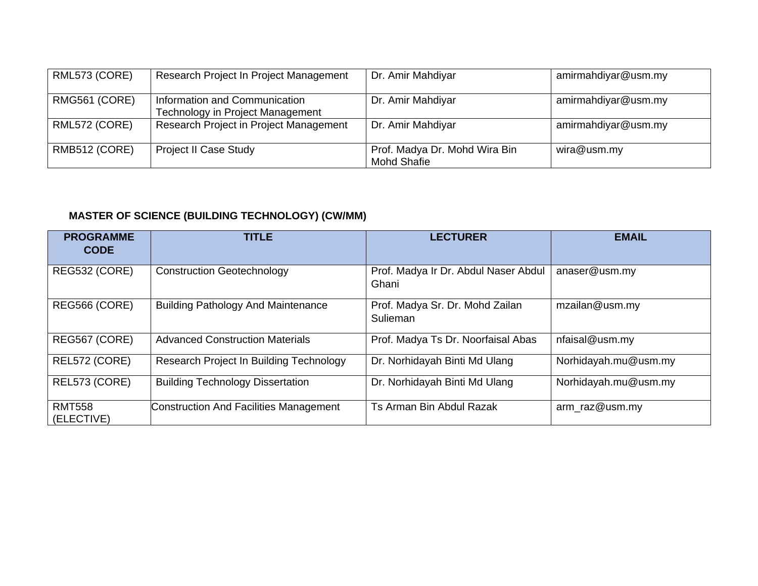| RML573 (CORE) | Research Project In Project Management                            | Dr. Amir Mahdiyar                            | amirmahdiyar@usm.my |
|---------------|-------------------------------------------------------------------|----------------------------------------------|---------------------|
| RMG561 (CORE) | Information and Communication<br>Technology in Project Management | Dr. Amir Mahdiyar                            | amirmahdiyar@usm.my |
| RML572 (CORE) | Research Project in Project Management                            | Dr. Amir Mahdiyar                            | amirmahdiyar@usm.my |
| RMB512 (CORE) | <b>Project II Case Study</b>                                      | Prof. Madya Dr. Mohd Wira Bin<br>Mohd Shafie | wira@usm.my         |

# **MASTER OF SCIENCE (BUILDING TECHNOLOGY) (CW/MM)**

| <b>PROGRAMME</b><br><b>CODE</b> | <b>TITLE</b>                                  | <b>LECTURER</b>                               | <b>EMAIL</b>         |
|---------------------------------|-----------------------------------------------|-----------------------------------------------|----------------------|
| REG532 (CORE)                   | <b>Construction Geotechnology</b>             | Prof. Madya Ir Dr. Abdul Naser Abdul<br>Ghani | anaser@usm.my        |
| REG566 (CORE)                   | <b>Building Pathology And Maintenance</b>     | Prof. Madya Sr. Dr. Mohd Zailan<br>Sulieman   | mzailan@usm.my       |
| REG567 (CORE)                   | <b>Advanced Construction Materials</b>        | Prof. Madya Ts Dr. Noorfaisal Abas            | nfaisal@usm.my       |
| REL572 (CORE)                   | Research Project In Building Technology       | Dr. Norhidayah Binti Md Ulang                 | Norhidayah.mu@usm.my |
| REL573 (CORE)                   | <b>Building Technology Dissertation</b>       | Dr. Norhidayah Binti Md Ulang                 | Norhidayah.mu@usm.my |
| <b>RMT558</b><br>(ELECTIVE)     | <b>Construction And Facilities Management</b> | Ts Arman Bin Abdul Razak                      | arm_raz@usm.my       |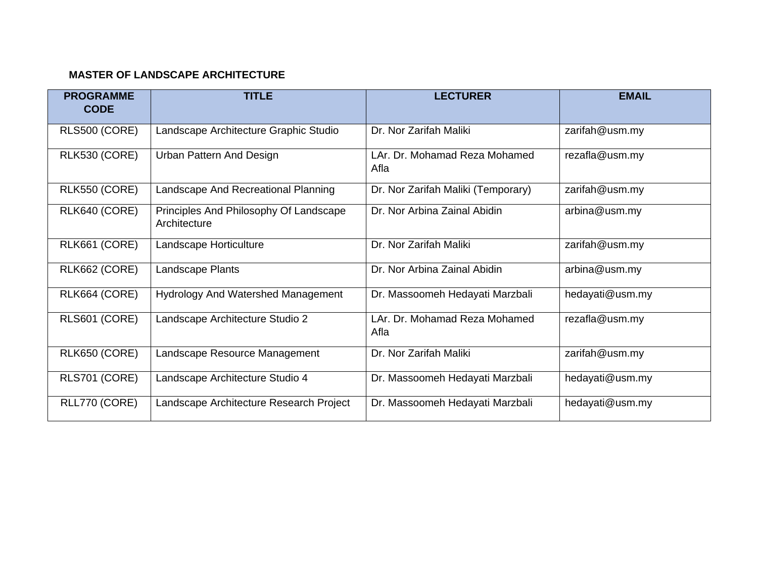#### **MASTER OF LANDSCAPE ARCHITECTURE**

| <b>PROGRAMME</b><br><b>CODE</b> | <b>TITLE</b>                                           | <b>LECTURER</b>                       | <b>EMAIL</b>    |
|---------------------------------|--------------------------------------------------------|---------------------------------------|-----------------|
| RLS500 (CORE)                   | Landscape Architecture Graphic Studio                  | Dr. Nor Zarifah Maliki                | zarifah@usm.my  |
| RLK530 (CORE)                   | Urban Pattern And Design                               | LAr. Dr. Mohamad Reza Mohamed<br>Afla | rezafla@usm.my  |
| RLK550 (CORE)                   | Landscape And Recreational Planning                    | Dr. Nor Zarifah Maliki (Temporary)    | zarifah@usm.my  |
| RLK640 (CORE)                   | Principles And Philosophy Of Landscape<br>Architecture | Dr. Nor Arbina Zainal Abidin          | arbina@usm.my   |
| RLK661 (CORE)                   | Landscape Horticulture                                 | Dr. Nor Zarifah Maliki                | zarifah@usm.my  |
| RLK662 (CORE)                   | Landscape Plants                                       | Dr. Nor Arbina Zainal Abidin          | arbina@usm.my   |
| RLK664 (CORE)                   | <b>Hydrology And Watershed Management</b>              | Dr. Massoomeh Hedayati Marzbali       | hedayati@usm.my |
| RLS601 (CORE)                   | Landscape Architecture Studio 2                        | LAr. Dr. Mohamad Reza Mohamed<br>Afla | rezafla@usm.my  |
| RLK650 (CORE)                   | Landscape Resource Management                          | Dr. Nor Zarifah Maliki                | zarifah@usm.my  |
| RLS701 (CORE)                   | Landscape Architecture Studio 4                        | Dr. Massoomeh Hedayati Marzbali       | hedayati@usm.my |
| RLL770 (CORE)                   | Landscape Architecture Research Project                | Dr. Massoomeh Hedayati Marzbali       | hedayati@usm.my |